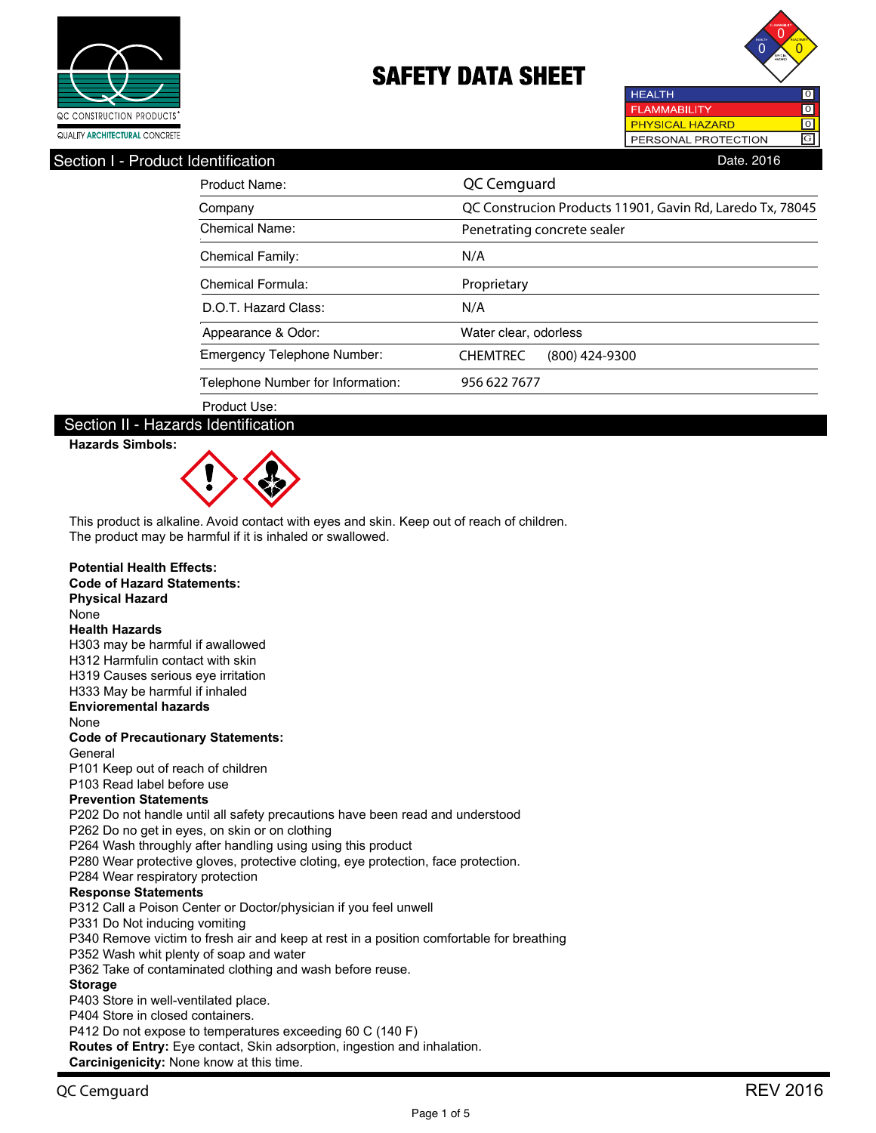



#### Section I - Product Identification **Date. 2016** Contract in the Section Date. 2016

| Product Name:                     | QC Cemguard                                               |
|-----------------------------------|-----------------------------------------------------------|
| Company                           | QC Construcion Products 11901, Gavin Rd, Laredo Tx, 78045 |
| Chemical Name:                    | Penetrating concrete sealer                               |
| <b>Chemical Family:</b>           | N/A                                                       |
| Chemical Formula:                 | Proprietary                                               |
| D.O.T. Hazard Class:              | N/A                                                       |
| Appearance & Odor:                | Water clear, odorless                                     |
| Emergency Telephone Number:       | <b>CHEMTREC</b><br>(800) 424-9300                         |
| Telephone Number for Information: | 956 622 7677                                              |
| Product Use:                      |                                                           |

#### Section II - Hazards Identification

**Hazards Simbols:**



This product is alkaline. Avoid contact with eyes and skin. Keep out of reach of children. The product may be harmful if it is inhaled or swallowed.

#### **Potential Health Effects:**

#### **Code of Hazard Statements: Physical Hazard** None **Health Hazards** H303 may be harmful if awallowed H312 Harmfulin contact with skin H319 Causes serious eye irritation H333 May be harmful if inhaled **Envioremental hazards** None **Code of Precautionary Statements:** General P101 Keep out of reach of children P103 Read label before use **Prevention Statements** P202 Do not handle until all safety precautions have been read and understood P262 Do no get in eyes, on skin or on clothing P264 Wash throughly after handling using using this product P280 Wear protective gloves, protective cloting, eye protection, face protection. P284 Wear respiratory protection **Response Statements** P312 Call a Poison Center or Doctor/physician if you feel unwell P331 Do Not inducing vomiting P340 Remove victim to fresh air and keep at rest in a position comfortable for breathing P352 Wash whit plenty of soap and water P362 Take of contaminated clothing and wash before reuse. **Storage** P403 Store in well-ventilated place. P404 Store in closed containers. P412 Do not expose to temperatures exceeding 60 C (140 F) **Routes of Entry:** Eye contact, Skin adsorption, ingestion and inhalation. **Carcinigenicity:** None know at this time.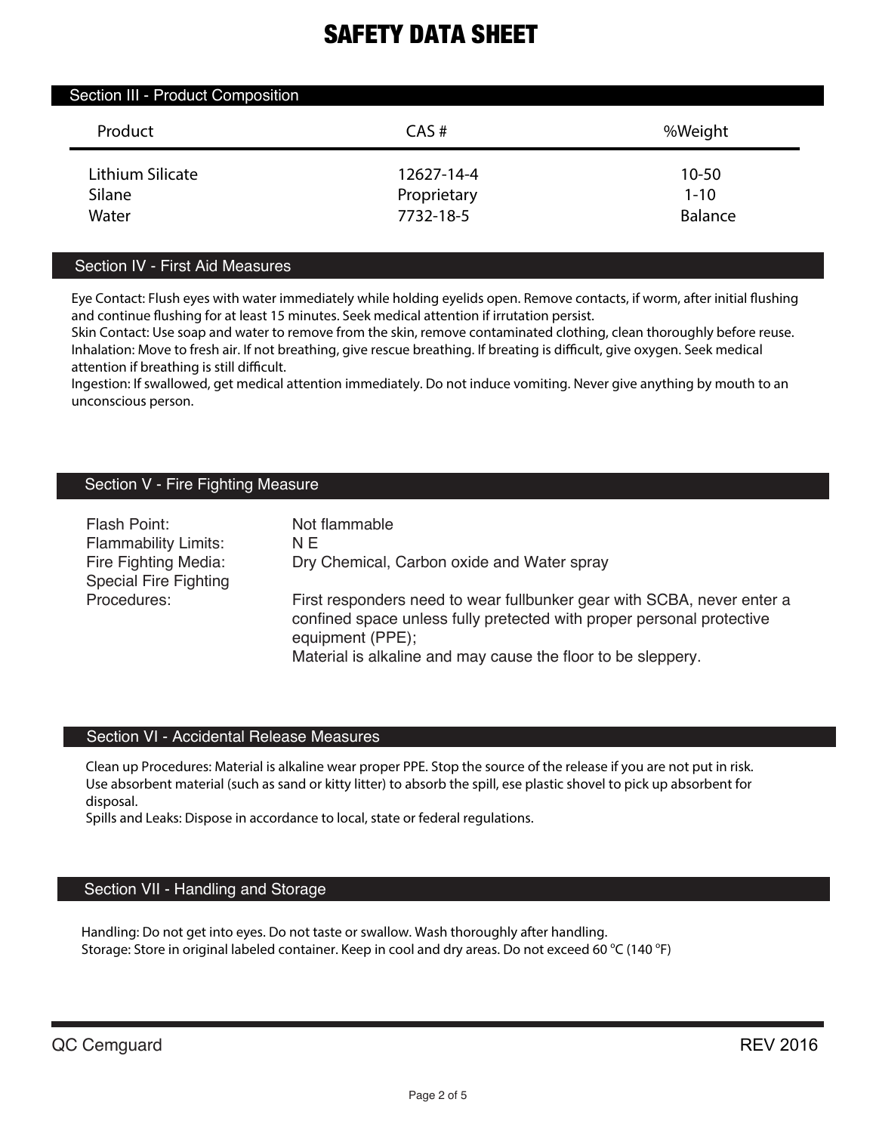| Section III - Product Composition |             |                |  |
|-----------------------------------|-------------|----------------|--|
| Product                           | CAS#        | %Weight        |  |
| Lithium Silicate                  | 12627-14-4  | 10-50          |  |
| Silane                            | Proprietary | $1 - 10$       |  |
| Water                             | 7732-18-5   | <b>Balance</b> |  |

### Section IV - First Aid Measures

Eye Contact: Flush eyes with water immediately while holding eyelids open. Remove contacts, if worm, after initial flushing and continue flushing for at least 15 minutes. Seek medical attention if irrutation persist.

Skin Contact: Use soap and water to remove from the skin, remove contaminated clothing, clean thoroughly before reuse. Inhalation: Move to fresh air. If not breathing, give rescue breathing. If breating is difficult, give oxygen. Seek medical attention if breathing is still difficult.

Ingestion: If swallowed, get medical attention immediately. Do not induce vomiting. Never give anything by mouth to an unconscious person.

## Section V - Fire Fighting Measure

| Flash Point:<br><b>Flammability Limits:</b><br>Fire Fighting Media:<br><b>Special Fire Fighting</b> | Not flammable<br>N E<br>Dry Chemical, Carbon oxide and Water spray                                                                                                                                                                  |
|-----------------------------------------------------------------------------------------------------|-------------------------------------------------------------------------------------------------------------------------------------------------------------------------------------------------------------------------------------|
| Procedures:                                                                                         | First responders need to wear fullbunker gear with SCBA, never enter a<br>confined space unless fully pretected with proper personal protective<br>equipment (PPE);<br>Material is alkaline and may cause the floor to be sleppery. |

### Section VI - Accidental Release Measures

Clean up Procedures: Material is alkaline wear proper PPE. Stop the source of the release if you are not put in risk. Use absorbent material (such as sand or kitty litter) to absorb the spill, ese plastic shovel to pick up absorbent for disposal.

Spills and Leaks: Dispose in accordance to local, state or federal regulations.

## Section VII - Handling and Storage

Handling: Do not get into eyes. Do not taste or swallow. Wash thoroughly after handling. Storage: Store in original labeled container. Keep in cool and dry areas. Do not exceed 60 °C (140 °F)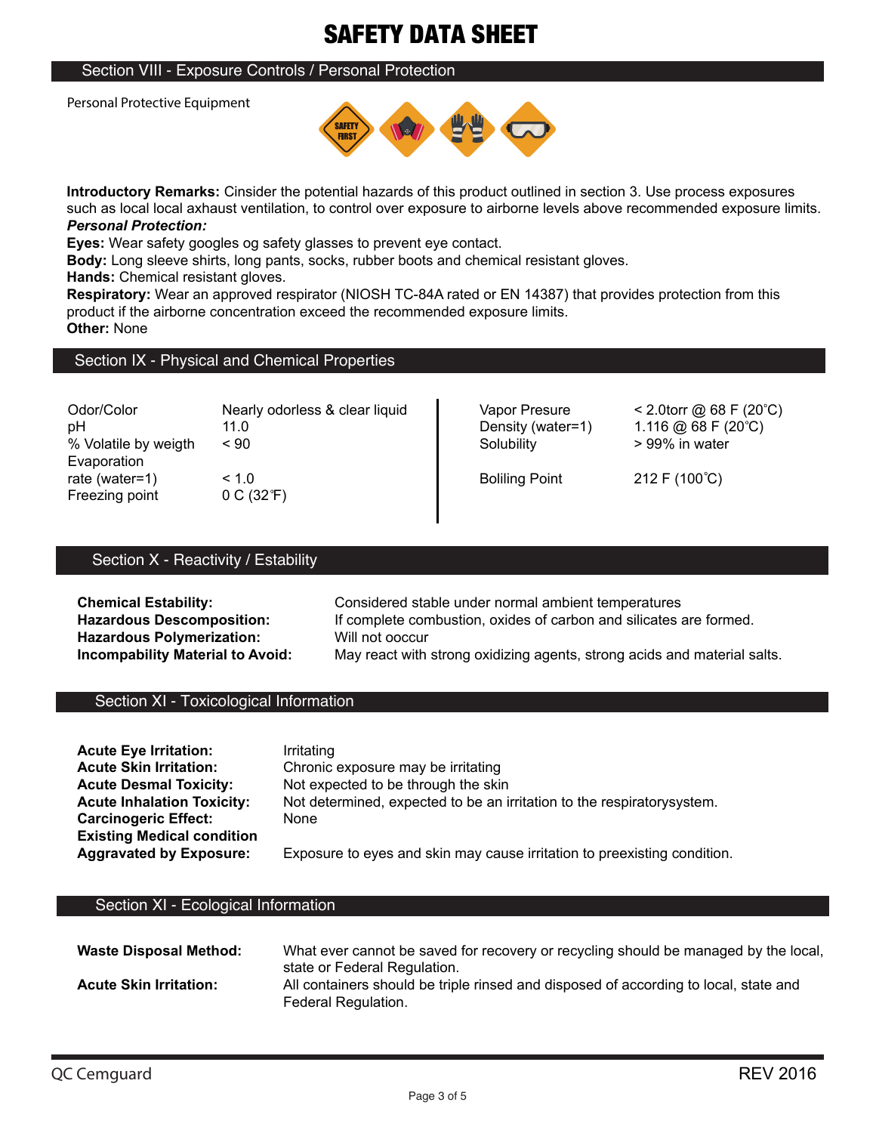## Section VIII - Exposure Controls / Personal Protection

Personal Protective Equipment



**Introductory Remarks:** Cinsider the potential hazards of this product outlined in section 3. Use process exposures such as local local axhaust ventilation, to control over exposure to airborne levels above recommended exposure limits. *Personal Protection:*

**Eyes:** Wear safety googles og safety glasses to prevent eye contact.

**Body:** Long sleeve shirts, long pants, socks, rubber boots and chemical resistant gloves.

**Hands:** Chemical resistant gloves.

**Respiratory:** Wear an approved respirator (NIOSH TC-84A rated or EN 14387) that provides protection from this product if the airborne concentration exceed the recommended exposure limits. **Other:** None

### Section IX - Physical and Chemical Properties

| Odor/Color                                      | Nearly odorless & clear liquid   | Vapor Presure         | < 2.0 torr @ 68 F (20 °C) |
|-------------------------------------------------|----------------------------------|-----------------------|---------------------------|
| рH                                              | 11.0                             | Density (water=1)     | 1.116 @ 68 F (20 °C)      |
| % Volatile by weigth                            | $~<$ 90                          | Solubility            | > 99% in water            |
| Evaporation<br>rate (water=1)<br>Freezing point | < 1.0<br>0 C (32 <sup>o</sup> F) | <b>Boliling Point</b> | 212 F (100°C)             |

## Section X - Reactivity / Estability

**Hazardous Polymerization:** Will not ooccur<br> **Incompability Material to Avoid:** May react with

**Chemical Estability:** Considered stable under normal ambient temperatures Hazardous Descomposition: If complete combustion, oxides of carbon and silicates are formed. May react with strong oxidizing agents, strong acids and material salts.

### Section XI - Toxicological Information

| <b>Acute Eye Irritation:</b>      | Irritating                                                               |
|-----------------------------------|--------------------------------------------------------------------------|
| <b>Acute Skin Irritation:</b>     | Chronic exposure may be irritating                                       |
| <b>Acute Desmal Toxicity:</b>     | Not expected to be through the skin                                      |
| <b>Acute Inhalation Toxicity:</b> | Not determined, expected to be an irritation to the respiratory system.  |
| <b>Carcinogeric Effect:</b>       | None                                                                     |
| <b>Existing Medical condition</b> |                                                                          |
| <b>Aggravated by Exposure:</b>    | Exposure to eyes and skin may cause irritation to preexisting condition. |

#### Section XI - Ecological Information

| <b>Waste Disposal Method:</b> | What ever cannot be saved for recovery or recycling should be managed by the local,                                                         |
|-------------------------------|---------------------------------------------------------------------------------------------------------------------------------------------|
| <b>Acute Skin Irritation:</b> | state or Federal Regulation.<br>All containers should be triple rinsed and disposed of according to local, state and<br>Federal Regulation. |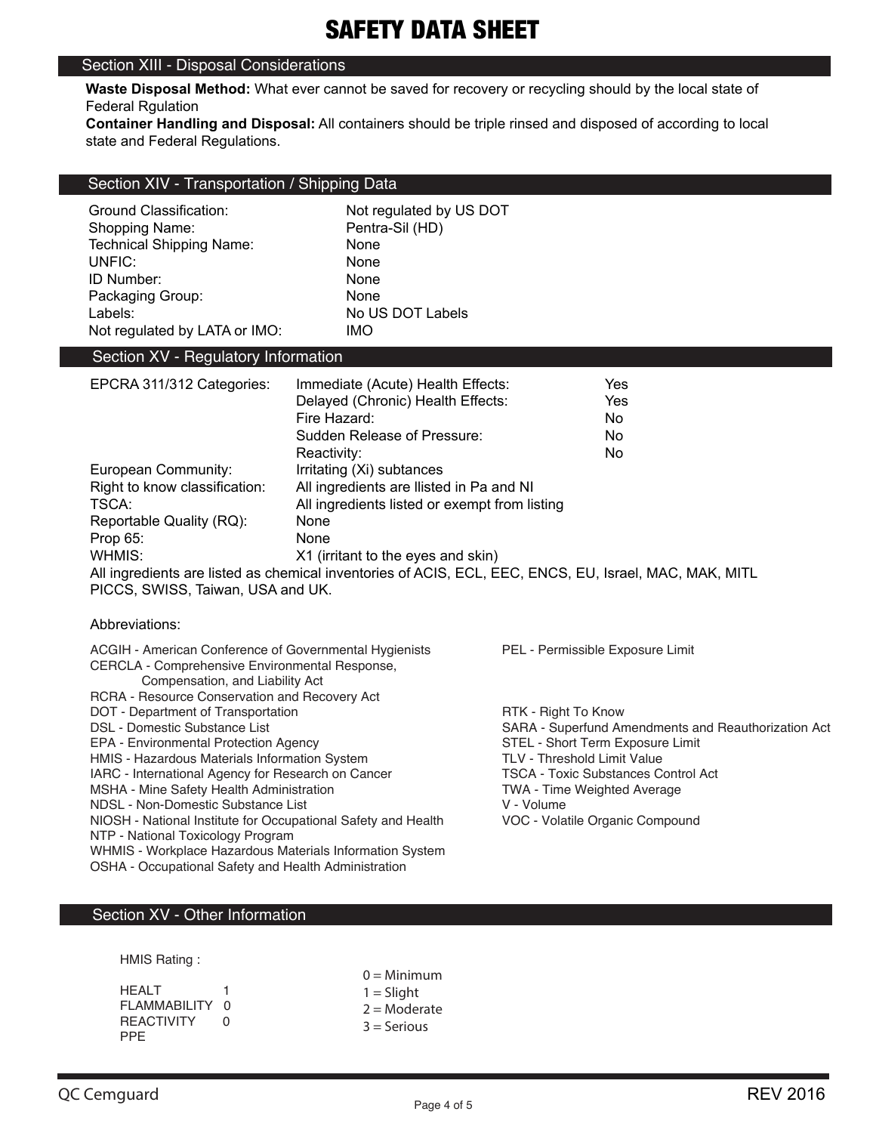## Section XIII - Disposal Considerations

**Waste Disposal Method:** What ever cannot be saved for recovery or recycling should by the local state of Federal Rgulation

**Container Handling and Disposal:** All containers should be triple rinsed and disposed of according to local state and Federal Regulations.

|  | Section XIV - Transportation / Shipping Data |  |
|--|----------------------------------------------|--|
|--|----------------------------------------------|--|

| Ground Classification:          | Not regulated by US DOT |
|---------------------------------|-------------------------|
| Shopping Name:                  | Pentra-Sil (HD)         |
| <b>Technical Shipping Name:</b> | None                    |
| UNFIC:                          | None                    |
| ID Number:                      | None                    |
| Packaging Group:                | None                    |
| Labels:                         | No US DOT Labels        |
| Not regulated by LATA or IMO:   | <b>IMO</b>              |

# Section XV - Regulatory Information

| EPCRA 311/312 Categories:                              | Immediate (Acute) Health Effects:                                                                      | Yes |
|--------------------------------------------------------|--------------------------------------------------------------------------------------------------------|-----|
|                                                        | Delayed (Chronic) Health Effects:                                                                      | Yes |
|                                                        | Fire Hazard:                                                                                           | No. |
|                                                        | Sudden Release of Pressure:                                                                            | No. |
|                                                        | Reactivity:                                                                                            | No. |
| European Community:<br>Irritating (Xi) subtances       |                                                                                                        |     |
| Right to know classification:                          | All ingredients are llisted in Pa and NI                                                               |     |
| All ingredients listed or exempt from listing<br>TSCA: |                                                                                                        |     |
| Reportable Quality (RQ):<br>None                       |                                                                                                        |     |
| Prop 65:                                               | None                                                                                                   |     |
| WHMIS:                                                 | X1 (irritant to the eyes and skin)                                                                     |     |
|                                                        | All ingredients are listed as chemical inventories of ACIS, ECL, EEC, ENCS, EU, Israel, MAC, MAK, MITL |     |

PICCS, SWISS, Taiwan, USA and UK.

#### Abbreviations:

| ACGIH - American Conference of Governmental Hygienists        | PEL - Permissible Exposure Limit                    |
|---------------------------------------------------------------|-----------------------------------------------------|
| CERCLA - Comprehensive Environmental Response,                |                                                     |
| Compensation, and Liability Act                               |                                                     |
| RCRA - Resource Conservation and Recovery Act                 |                                                     |
| DOT - Department of Transportation                            | RTK - Right To Know                                 |
| DSL - Domestic Substance List                                 | SARA - Superfund Amendments and Reauthorization Act |
| EPA - Environmental Protection Agency                         | STEL - Short Term Exposure Limit                    |
| HMIS - Hazardous Materials Information System                 | <b>TLV - Threshold Limit Value</b>                  |
| IARC - International Agency for Research on Cancer            | <b>TSCA - Toxic Substances Control Act</b>          |
| MSHA - Mine Safety Health Administration                      | <b>TWA - Time Weighted Average</b>                  |
| NDSL - Non-Domestic Substance List                            | V - Volume                                          |
| NIOSH - National Institute for Occupational Safety and Health | VOC - Volatile Organic Compound                     |
| NTP - National Toxicology Program                             |                                                     |
| WHMIS - Workplace Hazardous Materials Information System      |                                                     |
| OSHA - Occupational Safety and Health Administration          |                                                     |
|                                                               |                                                     |

# Section XV - Other Information

HMIS Rating :

|                   | $0 =$ Minimum  |
|-------------------|----------------|
| HFAI T            | $1 =$ Slight   |
| FLAMMABILITY 0    | $2 =$ Moderate |
| <b>REACTIVITY</b> | $3 =$ Serious  |
| PPF.              |                |